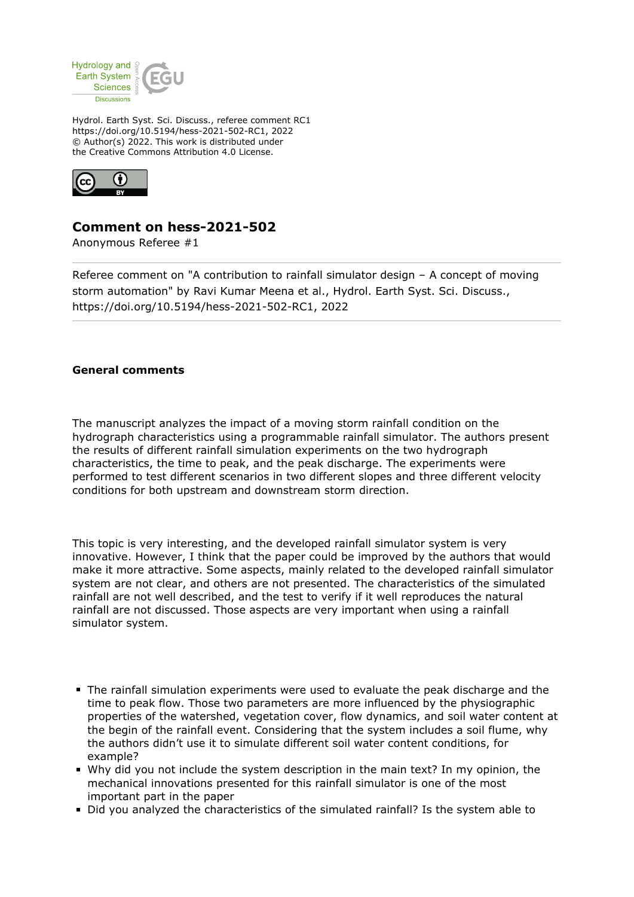

Hydrol. Earth Syst. Sci. Discuss., referee comment RC1 https://doi.org/10.5194/hess-2021-502-RC1, 2022 © Author(s) 2022. This work is distributed under the Creative Commons Attribution 4.0 License.



## **Comment on hess-2021-502**

Anonymous Referee #1

Referee comment on "A contribution to rainfall simulator design – A concept of moving storm automation" by Ravi Kumar Meena et al., Hydrol. Earth Syst. Sci. Discuss., https://doi.org/10.5194/hess-2021-502-RC1, 2022

## **General comments**

The manuscript analyzes the impact of a moving storm rainfall condition on the hydrograph characteristics using a programmable rainfall simulator. The authors present the results of different rainfall simulation experiments on the two hydrograph characteristics, the time to peak, and the peak discharge. The experiments were performed to test different scenarios in two different slopes and three different velocity conditions for both upstream and downstream storm direction.

This topic is very interesting, and the developed rainfall simulator system is very innovative. However, I think that the paper could be improved by the authors that would make it more attractive. Some aspects, mainly related to the developed rainfall simulator system are not clear, and others are not presented. The characteristics of the simulated rainfall are not well described, and the test to verify if it well reproduces the natural rainfall are not discussed. Those aspects are very important when using a rainfall simulator system.

- The rainfall simulation experiments were used to evaluate the peak discharge and the time to peak flow. Those two parameters are more influenced by the physiographic properties of the watershed, vegetation cover, flow dynamics, and soil water content at the begin of the rainfall event. Considering that the system includes a soil flume, why the authors didn't use it to simulate different soil water content conditions, for example?
- Why did you not include the system description in the main text? In my opinion, the mechanical innovations presented for this rainfall simulator is one of the most important part in the paper
- Did you analyzed the characteristics of the simulated rainfall? Is the system able to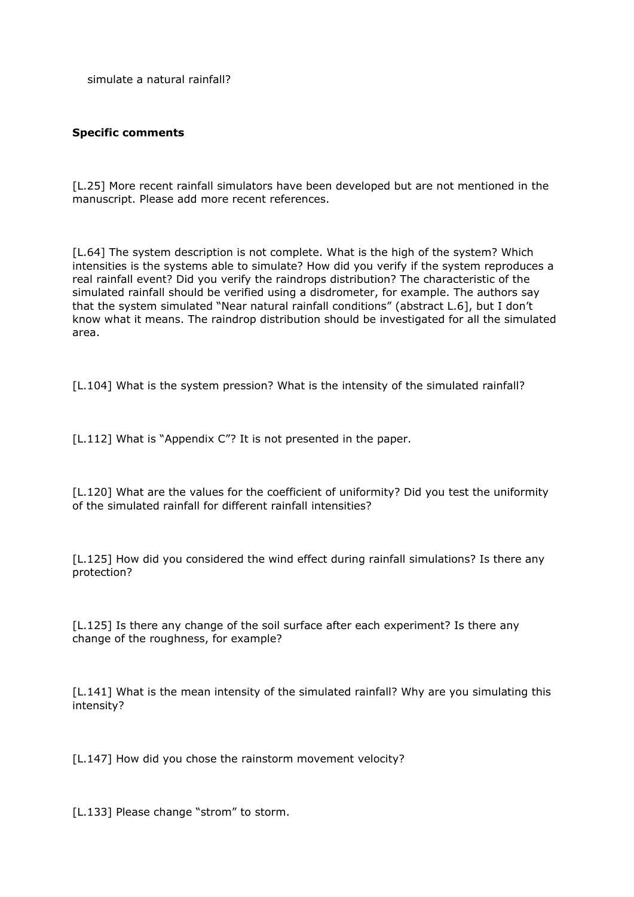simulate a natural rainfall?

## **Specific comments**

[L.25] More recent rainfall simulators have been developed but are not mentioned in the manuscript. Please add more recent references.

[L.64] The system description is not complete. What is the high of the system? Which intensities is the systems able to simulate? How did you verify if the system reproduces a real rainfall event? Did you verify the raindrops distribution? The characteristic of the simulated rainfall should be verified using a disdrometer, for example. The authors say that the system simulated "Near natural rainfall conditions" (abstract L.6], but I don't know what it means. The raindrop distribution should be investigated for all the simulated area.

[L.104] What is the system pression? What is the intensity of the simulated rainfall?

[L.112] What is "Appendix C"? It is not presented in the paper.

[L.120] What are the values for the coefficient of uniformity? Did you test the uniformity of the simulated rainfall for different rainfall intensities?

[L.125] How did you considered the wind effect during rainfall simulations? Is there any protection?

[L.125] Is there any change of the soil surface after each experiment? Is there any change of the roughness, for example?

[L.141] What is the mean intensity of the simulated rainfall? Why are you simulating this intensity?

[L.147] How did you chose the rainstorm movement velocity?

[L.133] Please change "strom" to storm.